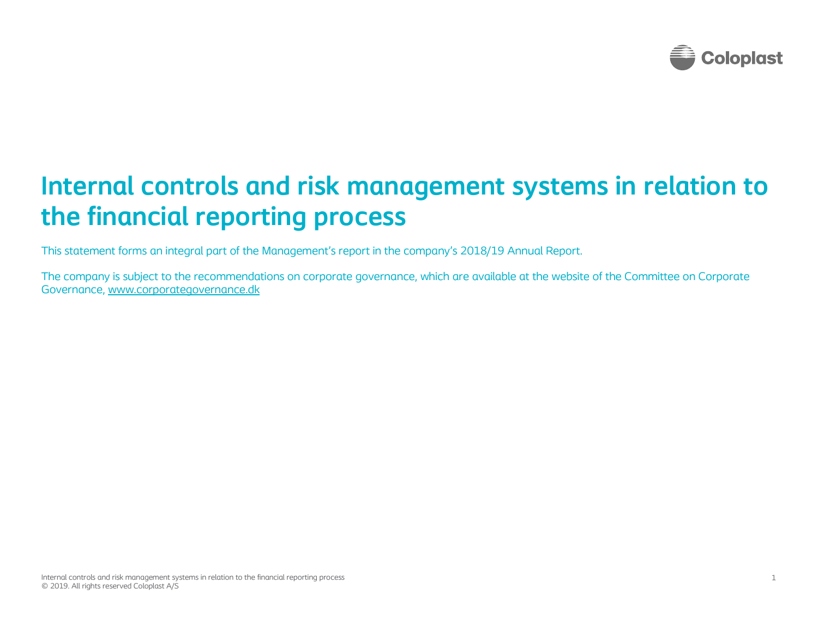

# Internal controls and risk management systems in relation to the financial reporting process

This statement forms an integral part of the Management's report in the company's 2018/19 Annual Report.

The company is subject to the recommendations on corporate governance, which are available at the website of the Committee on Corporate Governance, www.corporategovernance.dk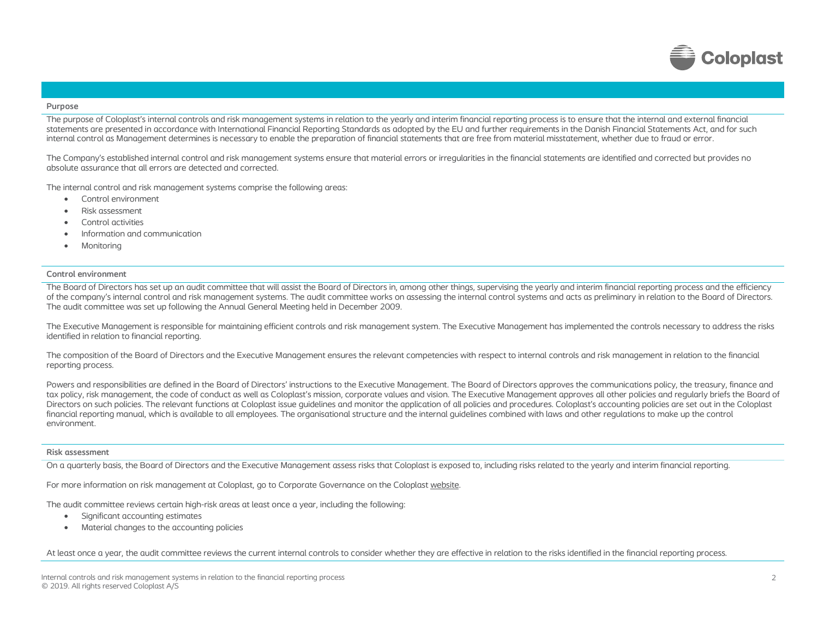

### Purpose

The purpose of Coloplast's internal controls and risk management systems in relation to the yearly and interim financial reporting process is to ensure that the internal and external financial statements are presented in accordance with International Financial Reporting Standards as adopted by the EU and further requirements in the Danish Financial Statements Act, and for such internal control as Management determines is necessary to enable the preparation of financial statements that are free from material misstatement, whether due to fraud or error.

The Company's established internal control and risk management systems ensure that material errors or irregularities in the financial statements are identified and corrected but provides no absolute assurance that all errors are detected and corrected.

The internal control and risk management systems comprise the following areas:

- Control environment
- Risk assessment
- Control activities
- Information and communication
- Monitoring

## Control environment

The Board of Directors has set up an audit committee that will assist the Board of Directors in, among other things, supervising the yearly and interim financial reporting process and the efficiency of the company's internal control and risk management systems. The audit committee works on assessing the internal control systems and acts as preliminary in relation to the Board of Directors. The audit committee was set up following the Annual General Meeting held in December 2009.

The Executive Management is responsible for maintaining efficient controls and risk management system. The Executive Management has implemented the controls necessary to address the risks identified in relation to financial reporting.

The composition of the Board of Directors and the Executive Management ensures the relevant competencies with respect to internal controls and risk management in relation to the financial reporting process.

Powers and responsibilities are defined in the Board of Directors' instructions to the Executive Management. The Board of Directors approves the communications policy, the treasury, finance and tax policy, risk management, the code of conduct as well as Coloplast's mission, corporate values and vision. The Executive Management approves all other policies and regularly briefs the Board of Directors on such policies. The relevant functions at Coloplast issue quidelines and monitor the application of all policies and procedures. Coloplast's accounting policies are set out in the Coloplast financial reporting manual, which is available to all employees. The organisational structure and the internal guidelines combined with laws and other regulations to make up the control environment.

#### Risk assessment

On a quarterly basis, the Board of Directors and the Executive Management assess risks that Coloplast is exposed to, including risks related to the yearly and interim financial reporting.

For more information on risk management at Coloplast, go to Corporate Governance on the Coloplast website.

The audit committee reviews certain high-risk areas at least once a year, including the following:

- Significant accounting estimates
- Material changes to the accounting policies

At least once a year, the audit committee reviews the current internal controls to consider whether they are effective in relation to the risks identified in the financial reporting process.